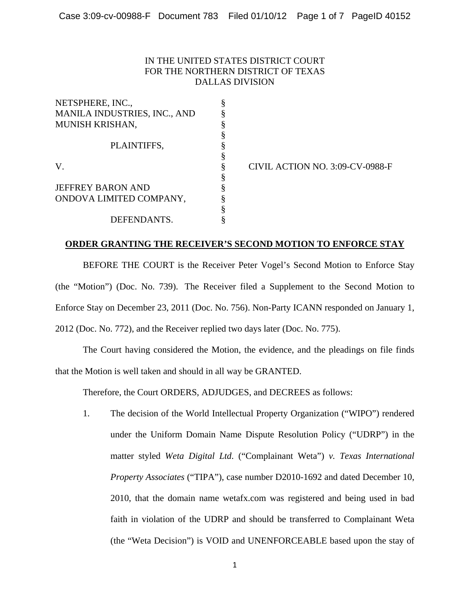## IN THE UNITED STATES DISTRICT COURT FOR THE NORTHERN DISTRICT OF TEXAS DALLAS DIVISION

| NETSPHERE, INC.,             |   |
|------------------------------|---|
| MANILA INDUSTRIES, INC., AND |   |
| <b>MUNISH KRISHAN,</b>       | ş |
|                              |   |
| PLAINTIFFS,                  |   |
|                              |   |
| V                            |   |
|                              | ş |
| <b>JEFFREY BARON AND</b>     | ş |
| ONDOVA LIMITED COMPANY,      |   |
|                              | ş |
| DEFENDANTS.                  |   |

CIVIL ACTION NO. 3:09-CV-0988-F

## **ORDER GRANTING THE RECEIVER'S SECOND MOTION TO ENFORCE STAY**

BEFORE THE COURT is the Receiver Peter Vogel's Second Motion to Enforce Stay (the "Motion") (Doc. No. 739). The Receiver filed a Supplement to the Second Motion to Enforce Stay on December 23, 2011 (Doc. No. 756). Non-Party ICANN responded on January 1, 2012 (Doc. No. 772), and the Receiver replied two days later (Doc. No. 775).

The Court having considered the Motion, the evidence, and the pleadings on file finds that the Motion is well taken and should in all way be GRANTED.

Therefore, the Court ORDERS, ADJUDGES, and DECREES as follows:

1. The decision of the World Intellectual Property Organization ("WIPO") rendered under the Uniform Domain Name Dispute Resolution Policy ("UDRP") in the matter styled *Weta Digital Ltd*. ("Complainant Weta") *v. Texas International Property Associates* ("TIPA"), case number D2010-1692 and dated December 10, 2010, that the domain name wetafx.com was registered and being used in bad faith in violation of the UDRP and should be transferred to Complainant Weta (the "Weta Decision") is VOID and UNENFORCEABLE based upon the stay of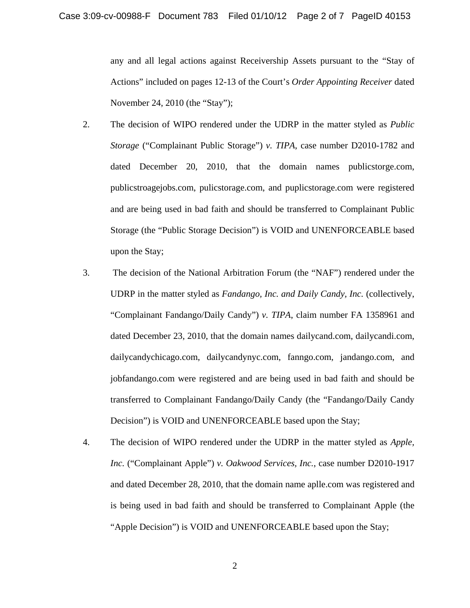any and all legal actions against Receivership Assets pursuant to the "Stay of Actions" included on pages 12-13 of the Court's *Order Appointing Receiver* dated November 24, 2010 (the "Stay");

- 2. The decision of WIPO rendered under the UDRP in the matter styled as *Public Storage* ("Complainant Public Storage") *v. TIPA*, case number D2010-1782 and dated December 20, 2010, that the domain names publicstorge.com, publicstroagejobs.com, pulicstorage.com, and puplicstorage.com were registered and are being used in bad faith and should be transferred to Complainant Public Storage (the "Public Storage Decision") is VOID and UNENFORCEABLE based upon the Stay;
- 3. The decision of the National Arbitration Forum (the "NAF") rendered under the UDRP in the matter styled as *Fandango, Inc. and Daily Candy, Inc.* (collectively, "Complainant Fandango/Daily Candy") *v. TIPA*, claim number FA 1358961 and dated December 23, 2010, that the domain names dailycand.com, dailycandi.com, dailycandychicago.com, dailycandynyc.com, fanngo.com, jandango.com, and jobfandango.com were registered and are being used in bad faith and should be transferred to Complainant Fandango/Daily Candy (the "Fandango/Daily Candy Decision") is VOID and UNENFORCEABLE based upon the Stay;
- 4. The decision of WIPO rendered under the UDRP in the matter styled as *Apple, Inc.* ("Complainant Apple") *v. Oakwood Services, Inc.*, case number D2010-1917 and dated December 28, 2010, that the domain name aplle.com was registered and is being used in bad faith and should be transferred to Complainant Apple (the "Apple Decision") is VOID and UNENFORCEABLE based upon the Stay;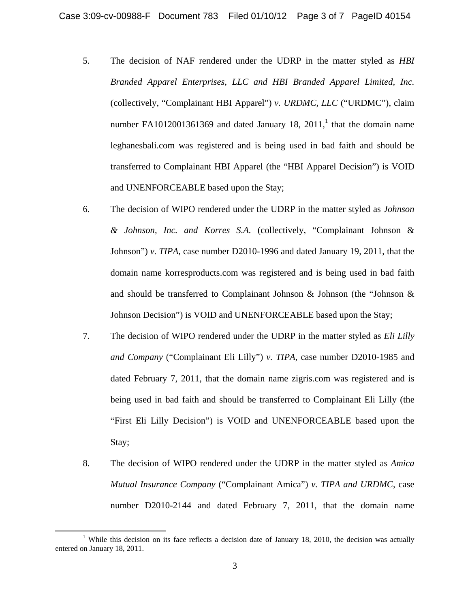- 5. The decision of NAF rendered under the UDRP in the matter styled as *HBI Branded Apparel Enterprises, LLC and HBI Branded Apparel Limited, Inc.*  (collectively, "Complainant HBI Apparel") *v. URDMC, LLC* ("URDMC"), claim number FA1012001361369 and dated January 18,  $2011<sup>1</sup>$ , that the domain name leghanesbali.com was registered and is being used in bad faith and should be transferred to Complainant HBI Apparel (the "HBI Apparel Decision") is VOID and UNENFORCEABLE based upon the Stay;
- 6. The decision of WIPO rendered under the UDRP in the matter styled as *Johnson & Johnson, Inc. and Korres S.A.* (collectively, "Complainant Johnson & Johnson") *v. TIPA*, case number D2010-1996 and dated January 19, 2011, that the domain name korresproducts.com was registered and is being used in bad faith and should be transferred to Complainant Johnson  $\&$  Johnson (the "Johnson  $\&$ Johnson Decision") is VOID and UNENFORCEABLE based upon the Stay;
- 7. The decision of WIPO rendered under the UDRP in the matter styled as *Eli Lilly and Company* ("Complainant Eli Lilly") *v. TIPA*, case number D2010-1985 and dated February 7, 2011, that the domain name zigris.com was registered and is being used in bad faith and should be transferred to Complainant Eli Lilly (the "First Eli Lilly Decision") is VOID and UNENFORCEABLE based upon the Stay;
- 8. The decision of WIPO rendered under the UDRP in the matter styled as *Amica Mutual Insurance Company* ("Complainant Amica") *v. TIPA and URDMC*, case number D2010-2144 and dated February 7, 2011, that the domain name

<sup>&</sup>lt;sup>1</sup> While this decision on its face reflects a decision date of January 18, 2010, the decision was actually entered on January 18, 2011.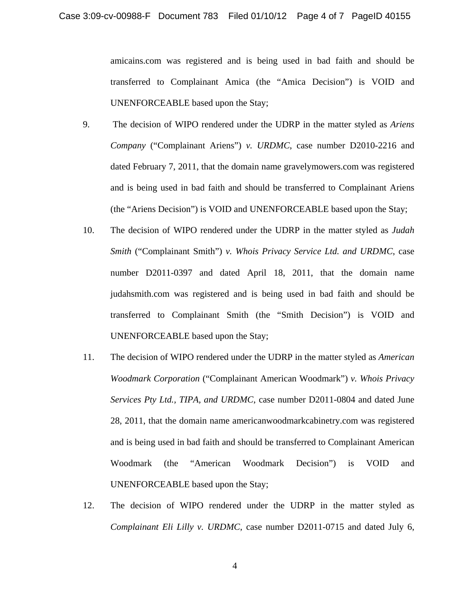amicains.com was registered and is being used in bad faith and should be transferred to Complainant Amica (the "Amica Decision") is VOID and UNENFORCEABLE based upon the Stay;

- 9. The decision of WIPO rendered under the UDRP in the matter styled as *Ariens Company* ("Complainant Ariens") *v. URDMC*, case number D2010-2216 and dated February 7, 2011, that the domain name gravelymowers.com was registered and is being used in bad faith and should be transferred to Complainant Ariens (the "Ariens Decision") is VOID and UNENFORCEABLE based upon the Stay;
- 10. The decision of WIPO rendered under the UDRP in the matter styled as *Judah Smith* ("Complainant Smith") *v. Whois Privacy Service Ltd. and URDMC*, case number D2011-0397 and dated April 18, 2011, that the domain name judahsmith.com was registered and is being used in bad faith and should be transferred to Complainant Smith (the "Smith Decision") is VOID and UNENFORCEABLE based upon the Stay;
- 11. The decision of WIPO rendered under the UDRP in the matter styled as *American Woodmark Corporation* ("Complainant American Woodmark") *v. Whois Privacy Services Pty Ltd., TIPA, and URDMC*, case number D2011-0804 and dated June 28, 2011, that the domain name americanwoodmarkcabinetry.com was registered and is being used in bad faith and should be transferred to Complainant American Woodmark (the "American Woodmark Decision") is VOID and UNENFORCEABLE based upon the Stay;
- 12. The decision of WIPO rendered under the UDRP in the matter styled as *Complainant Eli Lilly v. URDMC*, case number D2011-0715 and dated July 6,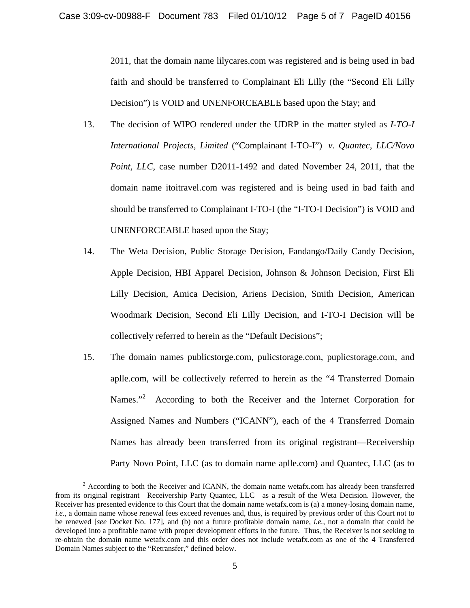2011, that the domain name lilycares.com was registered and is being used in bad faith and should be transferred to Complainant Eli Lilly (the "Second Eli Lilly Decision") is VOID and UNENFORCEABLE based upon the Stay; and

- 13. The decision of WIPO rendered under the UDRP in the matter styled as *I-TO-I International Projects, Limited* ("Complainant I-TO-I") *v. Quantec, LLC/Novo Point, LLC*, case number D2011-1492 and dated November 24, 2011, that the domain name itoitravel.com was registered and is being used in bad faith and should be transferred to Complainant I-TO-I (the "I-TO-I Decision") is VOID and UNENFORCEABLE based upon the Stay;
- 14. The Weta Decision, Public Storage Decision, Fandango/Daily Candy Decision, Apple Decision, HBI Apparel Decision, Johnson & Johnson Decision, First Eli Lilly Decision, Amica Decision, Ariens Decision, Smith Decision, American Woodmark Decision, Second Eli Lilly Decision, and I-TO-I Decision will be collectively referred to herein as the "Default Decisions";
- 15. The domain names publicstorge.com, pulicstorage.com, puplicstorage.com, and aplle.com, will be collectively referred to herein as the "4 Transferred Domain Names."<sup>2</sup> According to both the Receiver and the Internet Corporation for Assigned Names and Numbers ("ICANN"), each of the 4 Transferred Domain Names has already been transferred from its original registrant—Receivership Party Novo Point, LLC (as to domain name aplle.com) and Quantec, LLC (as to

<sup>&</sup>lt;sup>2</sup> According to both the Receiver and ICANN, the domain name wetafx.com has already been transferred from its original registrant—Receivership Party Quantec, LLC—as a result of the Weta Decision. However, the Receiver has presented evidence to this Court that the domain name wetafx.com is (a) a money-losing domain name, *i.e.*, a domain name whose renewal fees exceed revenues and, thus, is required by previous order of this Court not to be renewed [*see* Docket No. 177], and (b) not a future profitable domain name, *i.e.*, not a domain that could be developed into a profitable name with proper development efforts in the future. Thus, the Receiver is not seeking to re-obtain the domain name wetafx.com and this order does not include wetafx.com as one of the 4 Transferred Domain Names subject to the "Retransfer," defined below.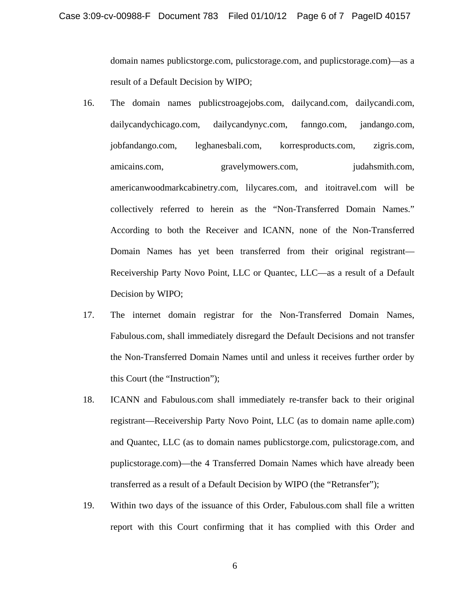domain names publicstorge.com, pulicstorage.com, and puplicstorage.com)—as a result of a Default Decision by WIPO;

- 16. The domain names publicstroagejobs.com, dailycand.com, dailycandi.com, dailycandychicago.com, dailycandynyc.com, fanngo.com, jandango.com, jobfandango.com, leghanesbali.com, korresproducts.com, zigris.com, amicains.com, gravelymowers.com, judahsmith.com, americanwoodmarkcabinetry.com, lilycares.com, and itoitravel.com will be collectively referred to herein as the "Non-Transferred Domain Names." According to both the Receiver and ICANN, none of the Non-Transferred Domain Names has yet been transferred from their original registrant— Receivership Party Novo Point, LLC or Quantec, LLC—as a result of a Default Decision by WIPO;
- 17. The internet domain registrar for the Non-Transferred Domain Names, Fabulous.com, shall immediately disregard the Default Decisions and not transfer the Non-Transferred Domain Names until and unless it receives further order by this Court (the "Instruction");
- 18. ICANN and Fabulous.com shall immediately re-transfer back to their original registrant—Receivership Party Novo Point, LLC (as to domain name aplle.com) and Quantec, LLC (as to domain names publicstorge.com, pulicstorage.com, and puplicstorage.com)—the 4 Transferred Domain Names which have already been transferred as a result of a Default Decision by WIPO (the "Retransfer");
- 19. Within two days of the issuance of this Order, Fabulous.com shall file a written report with this Court confirming that it has complied with this Order and